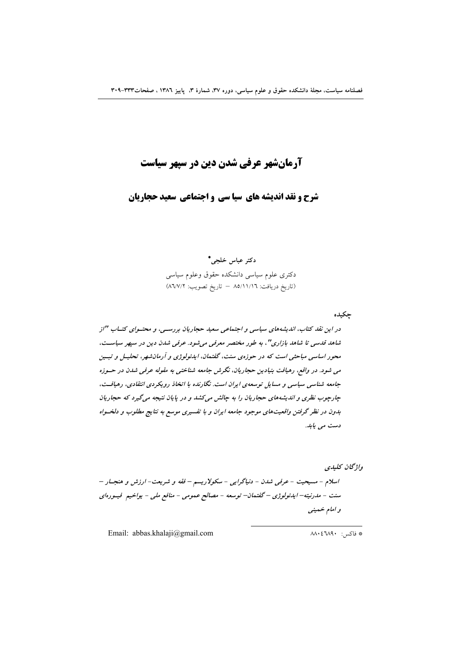# **آرمانشهر عرفی شدن دین در سیهر سیاست**

شرح و نقد اندیشه های سیا سی و اجتماعی سعید حجاریان

دكتر عباس خلجى\* دكترى علوم سياسى دانشكده حقوق وعلوم سياسى (تاريخ دريافت: ٨٥/١١/١٦ - تاريخ تصويب: ٨٦/٧/٢)

چکیده

در این نقد کتاب، اندیشههای سیاسی و اجتماعی سعید حجاریان بررسـی، و محتـوای کتـاب "از شاهد قدسی تا شاهد بازاری"، به طور مختصر معرفی می شود. عرفی شدن دین در سپهر سیاست، محور اساسی مباحثی است که در حوزهی سنت، گفتمان، ایدئولوژی و آرمانشهر، تحلیـل و تبـین می شود. در واقع، رهیافت بنیادین حجاریان، نگرش جامعه شناختی به مقوله عرفی شدن در حسوزه جامعه شناسی سیاسی و مسایل توسعهی ایران است. نگارنده با اتخاذ رویکردی انتقادی، رهیافت، چارچوب نظری و اندیشههای حجاریان را به چالش می کشد و در پایان نتیجه می گیرد که حجاریان بدون در نظر گرفتن واقعیتهای موجود جامعه ایران و با تفسیری موسع به نتایج مطلوب و دلخسواه دست می یابد.

واژىحان كىلىدى

اسلام - مسیحیت - عرفی شدن - دنیاگرایی - سکولاریسم - فقه و شریعت- ارزش و هنجـار – سنت - مدرنیته–ایدئولوژی – گفتمان– توسعه - مصالح عمومی - منافع ملی - یواخیم فیسورهای و امام خهينې

Email: abbas.khalaji@gmail.com

\* فاكس: ٨٨٠٤٦٨٩٠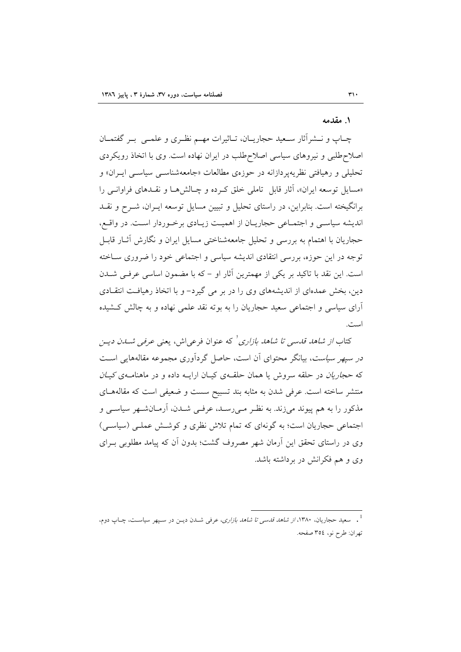#### ١ مقدمه

چــاپ و نـــشرأثار ســعيد حجاريـــان، تــاثيرات مهـــم نظــري و علمـــي بــر گفتمــان اصلاح طلبی و نیروهای سیاسی اصلاح طلب در ایران نهاده است. وی با اتخاذ رویکردی تحلیلی و رهیافتی نظریه پردازانه در حوزهی مطالعات «جامعهشناسبی سیاسبی ایـران» و «مسایل توسعه ایران»، آثار قابل تاملی خلق کرده و چـالشها و نقـدهای فراوانـی را برانگیخته است. بنابراین، در راستای تحلیل و تبیین مسایل توسعه ایـران، شــرح و نقــد اندیشه سیاسی و اجتماعی حجاریـان از اهمیـت زیـادی برخـوردار اسـت. در واقـع، حجاریان با اهتمام به بررسی و تحلیل جامعهشناختی مسایل ایران و نگارش آثــار قابــل توجه در این حوزه، بررسی انتقادی اندیشه سیاسی و اجتماعی خود را ضروری سـاخته است. این نقد با تاکید بر یکی از مهمترین آثار او – که با مضمون اساسی عرفی شـدن دین، بخش عمدهای از اندیشههای وی را در بر می گیرد- و با اتخاذ رهیافت انتقادی آرای سیاسی و اجتماعی سعید حجاریان را به بوته نقد علمی نهاده و به چالش کـشیده است.

کتاب *از شاهد قدسی تا شاهد بازاری <sup>۱</sup>* که عنوان فرعیاش، یعنی عرفی *شدن دی*ـن در سپهر سیاست، بیانگر محتوای آن است، حاصل گردآوری مجموعه مقالههایی است که حج*اریان در حلقه سروش یا همان حلق*هی کیـان ارایـه داده و در ماهنامـهی *کیـان* منتشر ساخته است. عرفی شدن به مثابه بند تسبیح سست و ضعیفی است که مقالههای مذکور را به هم پیوند میزند. به نظـر مـیرسـد، عرفـی شــدن، أرمــانشــهر سیاســی و اجتماعی حجاریان است؛ به گونهای که تمام تلاش نظری و کوشش عملـی (سیاسـی) وی در راستای تحقق این اَرمان شهر مصروف گشت؛ بدون اَن که پیامد مطلوبی بـرای وی و هم فکرانش در برداشته باشد.

<sup>&</sup>lt;sup>1</sup> . سعید حجاریان، ۱۳۸۰*، از شاهد قدسی تا شاهد بازاری، عر*فی شــدن دیــن در ســپهر سیاســت، چــاپ دوم، تهران: طرح نو، ٣٥٤ صفحه.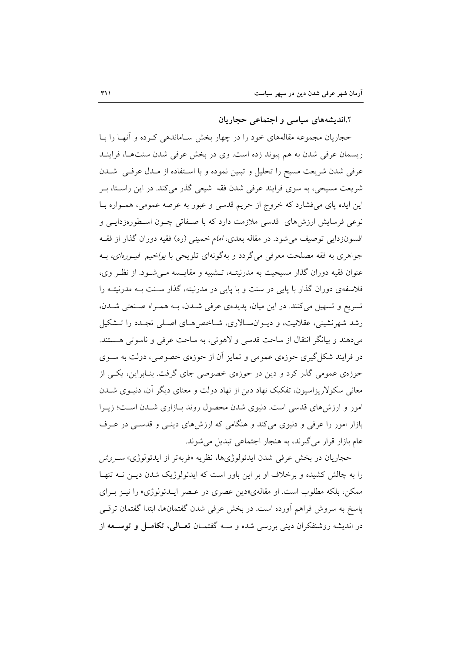۲.اندیشههای سیاسی و اجتماعی حجاریان

حجاریان مجموعه مقالههای خود را در چهار بخش سـاماندهی کـرده و آنهـا را بـا ریسمان عرفی شدن به هم پیوند زده است. وی در بخش عرفی شدن سنتها، فراینـد عرفی شدن شریعت مسیح را تحلیل و تبیین نموده و با استفاده از مـدل عرفـی شـدن شریعت مسیحی، به سوی فرایند عرفی شدن فقه ً شیعی گذر میکند. در این راسـتا، بـر این ایده پای میفشارد که خروج از حریم قدسی و عبور به عرصه عمومی، همــواره بــا نوعی فرسایش ارزش۵ای قدسی ملازمت دارد که با صـفاتی چـون اسـطورهزدایــی و افسونزدایی توصیف می شود. در مقاله بعدی، *امام خمینی (ر*ه) فقیه دوران گذار از فقـه جواهری به فقه مصلحت معرفی میگردد و بهگونهای تلویحی با *یواخیم فیـورهای،* بــه عنوان فقيه دوران گذار مسيحيت به مدرنيتــه، تــشبيه و مقايــسه مــي شــود. از نظـر وي، فلاسفهی دوران گذار با پایی در سنت و با پایی در مدرنیته، گذار سـنت بـه مدرنیتـه را تسریع و تسهیل میکنند. در این میان، پدیدهی عرفی شدن، به همراه صنعتی شدن، رشد شهرنشینی، عقلانیت، و دیـوانسـالاری، شـاخص هـای اصـلی تجـدد را تــشکیل مي دهند و بيانگر انتقال از ساحت قدسي و لاهوتي، به ساحت عرفي و ناسوتي هستند. در فرایند شکل گیری حوزهی عمومی و تمایز آن از حوزهی خصوصی، دولت به ســوی حوزهی عمومی گذر کرد و دین در حوزهی خصوصی جای گرفت. بنـابراین، یکـی از معانی سکولاریزاسیون، تفکیک نهاد دین از نهاد دولت و معنای دیگر آن، دنیــوی شــدن امور و ارزشهای قدسی است. دنیوی شدن محصول روند بـازاری شـدن اسـت؛ زیـرا بازار امور را عرفی و دنیوی میکند و هنگامی که ارزشهای دینــی و قدســی در عــرف عام بازار قرار میگیرند، به هنجار اجتماعی تبدیل می شوند.

حجاریان در بخش عرفی شدن ایدئولوژیها، نظریه «فربهتر از ایدئولوژی» *سـروش* را به چالش کشیده و برخلاف او بر این باور است که ایدئولوژیک شدن دیـن نــه تنهـا ممکن، بلکه مطلوب است. او مقالهی«دین عصری در عـصر ایــدئولوژی» را نیـز بـرای پاسخ به سروش فراهم أورده است. در بخش عرفی شدن گفتمانها، ابتدا گفتمان ترقـی در اندیشه روشنفکران دینی بررسی شده و ســه گفتمـان تعـالمی، تکامــل و توســعه از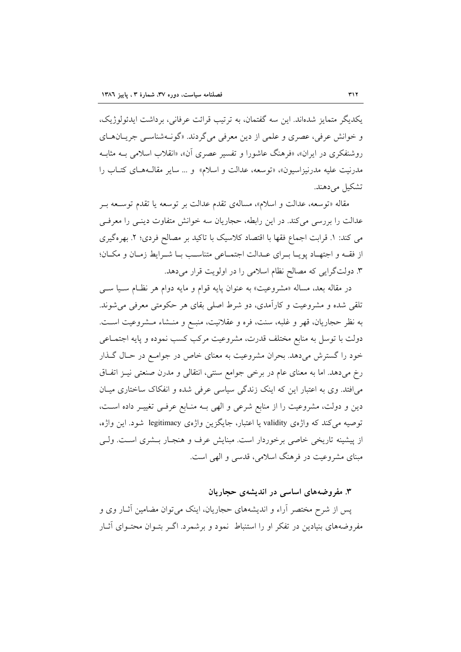يكديگر متمايز شدهاند. اين سه گفتمان، به ترتيب قرائت عرفاني، برداشت ايدئولوژيک، و خوانش عرفي، عصري و علمي از دين معرفي مي گردند. «گونهشناسي جريـانهـاي روشنفکری در ایران»، «فرهنگ عاشورا و تفسیر عصری آن»، «انقلاب اسلامی بـه مثابـه مدرنيت عليه مدرنيزاسيون»، «توسعه، عدالت و اسلام» و ... ساير مقالـههـاي كتـاب را تشکیل می دهند.

مقاله «توسعه، عدالت و اسلام»، مسالهي تقدم عدالت بر توسعه يا تقدم توسـعه بـر عدالت را بررسی می کند. در این رابطه، حجاریان سه خوانش متفاوت دینبی را معرفی می کند: ١. قرابت اجماع فقها با اقتصاد کلاسیک با تاکید بر مصالح فردی؛ ٢. بهرهگیری از فقـه و اجتهـاد يويـا بـراي عـدالت اجتمـاعي متناسـب بـا شـرايط زمـان و مكـان؛ ۳. دولتگرایی که مصالح نظام اسلامی را در اولویت قرار میدهد.

در مقاله بعد، مساله «مشروعیت» به عنوان پایه قوام و مایه دوام هر نظام سـیا سـی تلقی شده و مشروعیت و کارآمدی، دو شرط اصلی بقای هر حکومتی معرفی می شوند. به نظر حجاریان، قهر و غلبه، سنت، فره و عقلانیت، منبـع و منـشاء مـشروعیت اسـت. دولت با توسل به منابع مختلف قدرت، مشروعیت مرکب کسب نموده و پایه اجتمـاعی خود را گسترش میدهد. بحران مشروعیت به معنای خاص در جوامع در حـال گـذار رخ میدهد. اما به معنای عام در برخی جوامع سنتی، انتقالی و مدرن صنعتی نیـز اتفـاق می|فتد. وی به اعتبار این که اینک زندگی سیاسی عرفی شده و انفکاک ساختاری میـان دین و دولت، مشروعیت را از منابع شرعی و الهی بـه منـابع عرفـی تغییـر داده اسـت، توصیه میکند که واژهی validity یا اعتبار، جایگزین واژهی legitimacy شود. این واژه، از پیشینه تاریخی خاصی برخوردار است. مبنایش عرف و هنجـار بـشری اسـت. ولـی مبنای مشروعیت در فرهنگ اسلامی، قدسی و الهی است.

## ۳. مفروضههای اساسی در اندیشهی حجاریان

پس از شرح مختصر آراء و اندیشههای حجاریان، اینک می توان مضامین آثـار وی و مفروضههای بنیادین در تفکر او را استنباط نمود و برشمرد. اگـر بتــوان محتــوای آثــار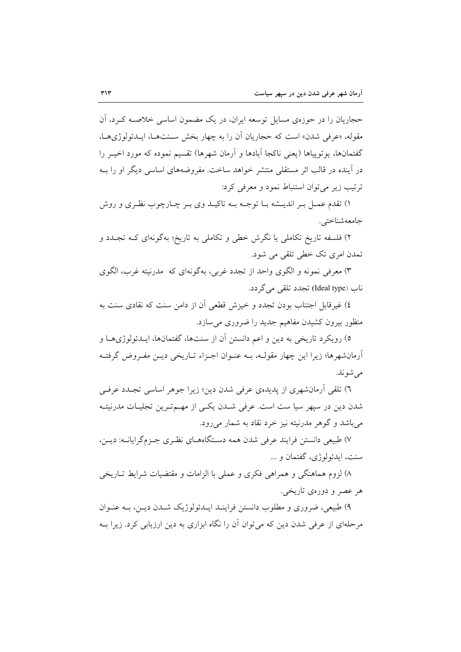حجاریان را در حوزوی مسایل توسعه ایران، در یک مضمون اساسی خلاصــه کــرد، آن مقوله، «عرفي شدن» است كه حجاريان أن را به چهار بخش سـنتهـا، ايـدئولوژيهـا، گفتمانها، یو توپیاها (یعنی ناکجا آبادها و آرمان شهرها) تقسیم نموده که مورد اخیـر را در آینده در قالب اثر مستقلی منتشر خواهد ساخت. مفروضههای اساسی دیگر او را بـه ترتيب زير مي توان استنباط نمود و معرفي كرد:

۱) تقدم عمـل بـر انديــشه بــا توجــه بــه تاكيــد وي بــر چــارچوب نظـري و روش جامعەشناختى.

۲) فلسفه تاریخ تکاملی یا نگرش خطی و تکاملی به تاریخ؛ بهگونهای کـه تجـدد و تمدن امري تک خطي تلقي مي شود.

۳) معرفی نمونه و الگوی واحد از تجدد غربی، بهگونهای که مدرنیته غرب، الگوی ناب (Ideal type) تجدد تلقی می گردد.

٤) غیرقابل اجتناب بودن تجدد و خیزش قطعی آن از دامن سنت که نقادی سنت به منظور بیرون کشیدن مفاهیم جدید را ضروری می سازد.

٥) رويكرد تاريخي به دين و اعم دانستن آن از سنتها، گفتمانها، ايــدئولوژيهــا و أرمانشهرها؛ زیرا این چهار مقولـه، بــه عنــوان اجــزاء تــاریخی دیــن مفــروض گرفتــه می شوند.

٦) تلقی اَرمانشهری از پدیدهی عرفی شدن دین؛ زیرا جوهر اساسی تجـدد عرفـی شدن دین در سیهر سیا ست است. عرفی شـدن یکـی از مهـمتـرین تجلیـات مدرنیتـه مي باشد و گوهر مدرنيته نيز خرد نقاد به شمار مي رود.

۷) طبیعی دانستن فرایند عرفی شدن همه دستگاههای نظری جـزمگرایانــه: دیــن، سنت، ايدئولوژي، گفتمان و ...

۸) لزوم هماهنگی و همراهی فکری و عملی با الزامات و مقتضیات شرایط تــاریخی هر عصر و دورهي تاريخي.

۹) طبیعی، ضروری و مطلوب دانستن فراینـد ایــدئولوژیک شــدن دیــن، بــه عنــوان مرحلهای از عرفی شدن دین که می توان آن را نگاه ابزاری به دین ارزیابی کرد. زیرا بــه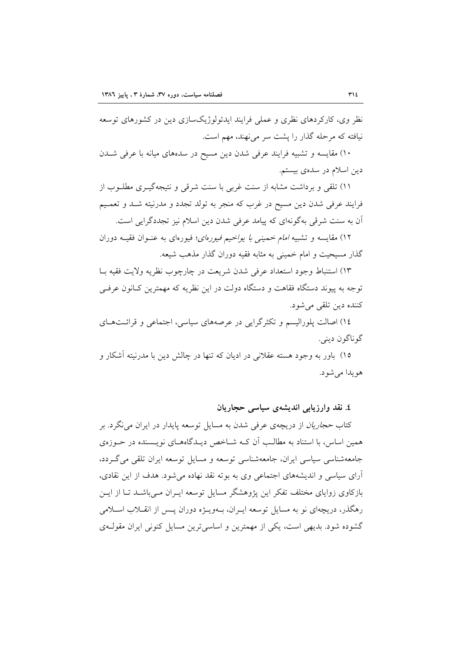نظر وی، کارکردهای نظری و عملی فرایند ایدئولوژیکسازی دین در کشورهای توسعه نیافته که مرحله گذار را پشت سر می نهند، مهم است.

۱۰) مقایسه و تشبیه فرایند عرفی شدن دین مسیح در سدههای میانه با عرفی شــدن دین اسلام در سدهی بیستم.

۱۱) تلقی و برداشت مشابه از سنت غربی با سنت شرقی و نتیجهگیــری مطلــوب از فرایند عرفی شدن دین مسیح در غرب که منجر به تولد تجدد و مدرنیته شـد و تعمـیم اّن به سنت شرقی بهگونهای که پیامد عرفی شدن دین اسلام نیز تجددگرایی است.

۱۲) مقایسه و تشبیه *امام خمینی با یواخیم فیورهای*؛ فیورهای به عنـوان فقیــه دوران گذار مسیحیت و امام خمینی به مثابه فقیه دوران گذار مذهب شیعه.

١٣) استنباط وجود استعداد عرفي شدن شريعت در چارچوب نظريه ولايت فقيه بـا توجه به پیوند دستگاه فقاهت و دستگاه دولت در این نظریه که مهمترین کـانون عرفــی کننده دین تلقی میشود.

١٤) اصالت پلورالیسم و تکثرگرایی در عرصههای سیاسی، اجتماعی و قرائـتهـای گوناگون دينې.

۱۵) باور به وجود هسته عقلانی در ادیان که تنها در چالش دین با مدرنیته آشکار و هو يدا مي شو د.

٤. نقد وارزيابي انديشەي سياسى حجاريان

کتاب *حجاریان* از دریچهی عرفی شدن به مسایل توسعه پایدار در ایران می نگرد. بر همین اساس، با استناد به مطالب آن کـه شــاخص دیــدگاههــای نویــسنده در حــوزهی جامعهشناسي سياسي ايران، جامعهشناسي توسعه و مسايل توسعه ايران تلقى مى گردد، آرای سیاسی و اندیشههای اجتماعی وی به بوته نقد نهاده میشود. هدف از این نقادی، بازکاوی زوایای مختلف تفکر این پژوهشگر مسایل توسعه ایـران مـیباشــد تـا از ایــن رهگذر، دریچهای نو به مسایل توسعه ایـران، بــهویــژه دوران پــس از انقــلاب اســلامی گشوده شود. بدیهی است، یکی از مهمترین و اساسی ترین مسایل کنونی ایران مقولـهی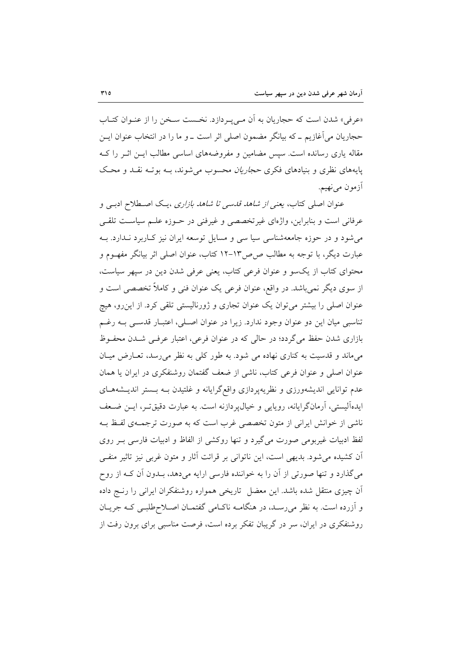«عرفي» شدن است كه حجاريان به أن مـيLيـردازد. نخـست سـخن را از عنـوان كتـاب حجاریان می آغازیم ـ که بیانگر مضمون اصلی اثر است ـ و ما را در انتخاب عنوان ایــن مقاله یاری رسانده است. سیس مضامین و مفروضههای اساسی مطالب ایــن اثــر را کــه پایههای نظری و بنیادهای فکری *حجاریان محسوب می شوند*، بـه بوتـه نقـد و محـک آزمون مي نھيم.

عنوان اصلی کتاب، یعنی از شا*هد قدسی تا شاهد بازاری* ،پک اصطلاح ادببی و عرفاني است و بنابراين، واژهاي غير تخصصي و غيرفني در حـوزه علـم سياسـت تلقـي می شود و در حوزه جامعهشناسی سیا سی و مسایل توسعه ایران نیز کباربرد نـدارد. بـه عبارت دیگر، با توجه به مطالب ص ص۱۳–۱۲ کتاب، عنوان اصلی اثر بیانگر مفهـوم و محتوای کتاب از یکسو و عنوان فرعی کتاب، یعنی عرفی شدن دین در سپهر سیاست، از سوی دیگر نمیباشد. در واقع، عنوان فرعی یک عنوان فنی و کاملاً تخصصی است و عنوان اصلی را بیشتر می توان یک عنوان تجاری و ژورنالیستی تلقی کرد. از این رو، هیچ تناسبي ميان اين دو عنوان وجود ندارد. زيرا در عنوان اصـلي، اعتبـار قدسـي بــه رغــم بازاری شدن حفظ می گردد؛ در حالی که در عنوان فرعی، اعتبار عرفـی شـدن محفـوظ میماند و قدسیت به کناری نهاده می شود. به طور کلی به نظر می رسد، تعـارض میـان عنوان اصلی و عنوان فرعی کتاب، ناشی از ضعف گفتمان روشنفکری در ایران یا همان عدم توانایی اندیشهورزی و نظریه پردازی واقع گرایانه و غلتیدن بـه بـستر اندیـشههـای ايدهآليستي، آرمانگرايانه، رويايي و خيال، دازنه است. به عبارت دقيقتر، ايـن ضـعف ناشی از خوانش ایرانی از متون تخصصی غرب است که به صورت ترجمـهی لفـظ بـه لفظ ادبیات غیربومی صورت می گیرد و تنها روکشی از الفاظ و ادبیات فارسی بـر روی اّن کشیده می شود. بدیهی است، این ناتوانی بر قرائت اَثار و متون غربی نیز تاثیر منفـی می گذارد و تنها صورتی از آن را به خواننده فارسی ارایه میدهد، بـدون آن کــه از روح آن چیزی منتقل شده باشد. این معضل تاریخی همواره روشنفکران ایرانی را رنـج داده و آزرده است. به نظر می رسـد، در هنگامــه ناكــامی گفتمــان اصــلاحطلبــی كــه جريــان روشنفکری در ایران، سر در گریبان تفکر برده است، فرصت مناسبی برای برون رفت از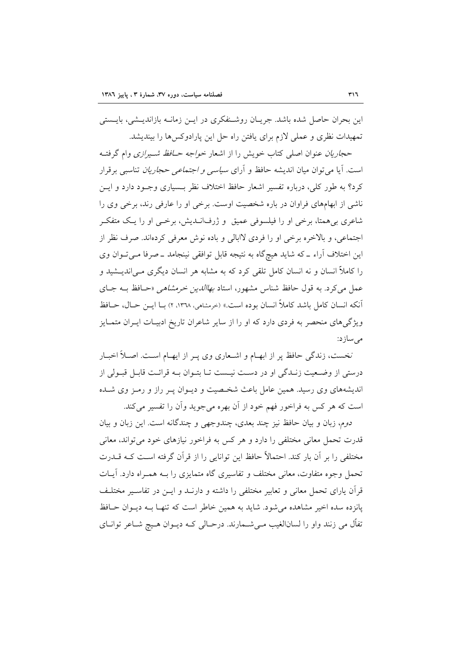این بحران حاصل شده باشد. جریـان روشـنفکری در ایـن زمانــه بازاندیــشی، بایــستی تمهیدات نظری و عملی لازم برای یافتن راه حل این پارادوکسها را بیندیشد.

حج*اریان عن*وان اصلی کتاب خویش را از اشعار *خواجه حـافظ شـیرازی* وام گرفتـه است. آیا می توان میان اندیشه حافظ و آرای *سیاسی و اجتماعی حجاریان* تناسبی برقرار کرد؟ به طور کلی، درباره تفسیر اشعار حافظ اختلاف نظر بــسیاری وجــود دارد و ایــن ناشی از ابهامهای فراوان در باره شخصیت اوست. برخی او را عارفی رند، برخی وی را شاعري بي همتا، برخي او را فيلسوفي عميق و ژرفانــديش، برخــي او را يــک متفکــر اجتماعي، و بالاخره برخي او را فردي لاابالي و باده نوش معرفي كردهاند. صرف نظر از این اختلاف آراء ـ که شاید هیچگاه به نتیجه قابل توافقی نینجامد ـ صرفا مـیتـوان وی را کاملاً انسان و نه انسان کامل تلقی کرد که به مشابه هر انسان دیگری مـی|ندیــشید و عمل می کرد. به قول حافظ شناس مشهور، استاد *بهاالدین خرمشاهی* «حـافظ بــه جــای آنكه انسان كامل باشد كاملاً انسان بوده است.» (خرمشاهي، ١٣٦٨، ٢) بــا ايـــن حــال، حــافظ ویژگی های منحصر به فردی دارد که او را از سایر شاعران تاریخ ادبیـات ایـران متمـایز مے ساز د:

نخست، زندگی حافظ پر از ابهـام و اشـعاری وی پـر از ایهـام اسـت. اصـلاً اخبـار درستی از وضعیت زنـدگی او در دسـت نیـست تـا بتـوان بـه قرائـت قابـل قبـولی از اندیشههای وی رسید. همین عامل باعث شخصیت و دیـوان پـر راز و رمـز وی شـده است که هر کس به فراخور فهم خود از آن بهره می جوید وآن را تفسیر می کند.

دوم، زبان و بيان حافظ نيز چند بعدي، چندوجهي و چندگانه است. اين زبان و بيان قدرت تحمل معانی مختلفی را دارد و هر کس به فراخور نیازهای خود می تواند، معانی مختلفی را بر آن بار کند. احتمالاً حافظ این توانایی را از قرآن گرفته است کـه قــدرت تحمل وجوه متفاوت، معانی مختلف و تفاسیری گاه متمایزی را بـه همـراه دارد. آیــات قرآن یارای تحمل معانی و تعابیر مختلفی را داشته و دارنــد و ایــن در تفاســیر مختلــف یانزده سده اخیر مشاهده می شود. شاید به همین خاطر است که تنهـا بـه دیـوان حـافظ تفاًل مي زنند واو را لسانالغيب مـي شــمارند. درحـالي كــه ديــوان هــيچ شــاعر توانــاي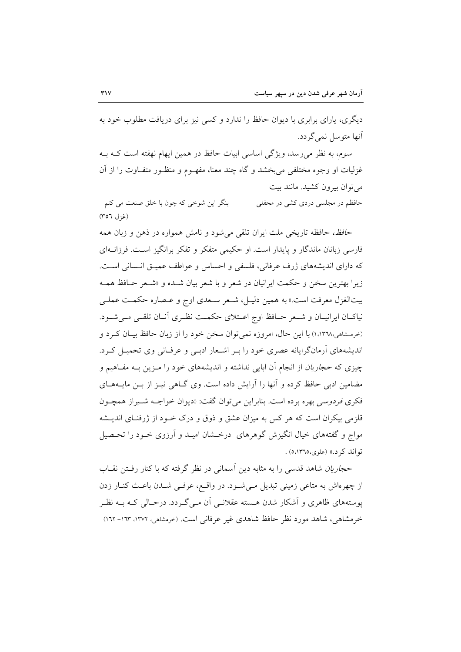دیگری، پارای برابری با دیوان حافظ را ندارد و کسی نیز برای دریافت مطلوب خود به آنها متوسل نمي گردد.

سوم، به نظر می رسد، ویژگی اساسی ابیات حافظ در همین ایهام نهفته است کــه بــه غزلیات او وجوه مختلفی می بخشد و گاه چند معنا، مفهــوم و منظــور متفــاوت را از أن می توان بیرون کشید. مانند بیت

بنگر این شوخی که چون با خلق صنعت می کنم حافظم در مجلسی دردی کشی در محفلی  $(507)$  (غزل)

ح*افظ،* حافظه تاریخی ملت ایران تلقی می شود و نامش همواره در ذهن و زبان همه فارسی زبانان ماندگار و پایدار است. او حکیمی متفکر و تفکر برانگیز است. فرزانــهای كه داراي انديشههاي ژرف عرفاني، فلسفى و احساس و عواطف عميــق انــساني اســت. زيرا بهترين سخن و حكمت ايرانيان در شعر و با شعر بيان شــده و «شــعر حــافظ همــه بيتالغزل معرفت است.» به همين دليـل، شـعر سـعدي اوج و عـصاره حكمـت عملـي نیاکــان ایرانیــان و شــعر حــافظ اوج اعــتلای حکمــت نظــری أنــان تلقــی مــیشــود. (خرمشاهی،۱٬۱۳۹۸) با این حال، امروزه نمی توان سخن خود را از زبان حافظ بیـان کـرد و اندیشههای اَرمانگرایانه عصری خود را بـر اشـعار ادبـی و عرفـانی وی تحمیـل کـرد. چیزی که *حجاریان* از انجام اَن ابایی نداشته و اندیشههای خود را مـزین بــه مفــاهیم و مضامین ادبی حافظ کرده و آنها را آرایش داده است. وی گـاهی نیـز از بـن مایـههـای فكري فر*دوسي* بهره برده است. بنابراين مي توان گفت: «ديوان خواجــه شـيراز همچـون قلزمی بیکران است که هر کس به میزان عشق و ذوق و درک خــود از ژرفنــای اندیـــشه مواج و گفتههای خیال انگیزش گوهرهای ً درخــشان امیــد و آرزوی خــود را تحــصیل تواند کرد.» (علوی، ١٣٦٥) .

حج*اریان* شاهد قدسی را به مثابه دین اَسمانی در نظر گرفته که با کنار رفــتن نقــاب از چهرهاش به متاعی زمینی تبدیل مییشود. در واقع، عرفیی شـدن باعـث کنـار زدن یوستههای ظاهری و اَشکار شدن هسته عقلانـبی اَن مـبی گـردد. درحـالی کـه بــه نظـر خرمشاهی، شاهد مورد نظر حافظ شاهدی غیر عرفانی است. (خرمشاهی، ۱۳۷۲، ۱۳۱۳- ۱۶۲)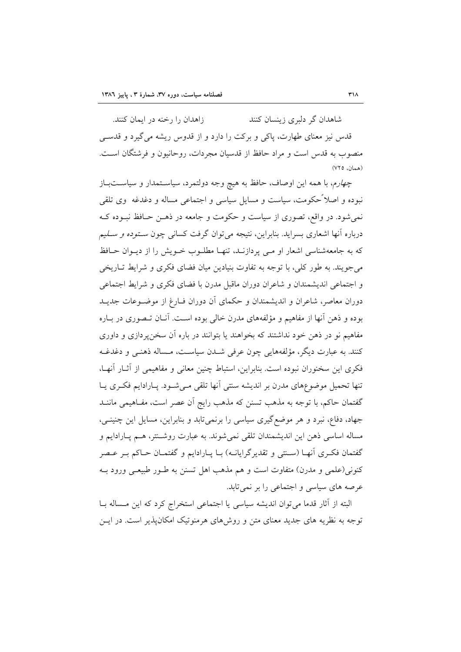زاهدان را رخنه در ایمان کنند. شاهدان گر دلبری زینسان کنند قدس نیز معنای طهارت، پاکی و برکت را دارد و از قدوس ریشه می گیرد و قدســی منصوب به قدس است و مراد حافظ از قدسیان مجردات، روحانیون و فرشتگان است.  $(VTO)$ 

چهارم، با همه این اوصاف، حافظ به هیچ وجه دولتمرد، سیاستمدار و سیاستباز نبوده و اصلاً حکومت، سیاست و مسایل سیاسی و اجتماعی مساله و دغدغه ۖ وی تلقی نمی شود. در واقع، تصوری از سیاست و حکومت و جامعه در ذهـن حـافظ نبـوده کـه درباره أنها اشعاری بسراید. بنابراین، نتیجه میتوان گرفت کسان<sub>ی</sub> چون *سـتوده و سـلیم* که به جامعهشناسی اشعار او مبی پردازنـد، تنهـا مطلـوب خـویش را از دیـوان حـافظ می جویند. به طور کلی، با توجه به تفاوت بنیادین میان فضای فکری و شرایط تـاریخی و اجتماعی اندیشمندان و شاعران دوران ماقبل مدرن با فضای فکری و شرایط اجتماعی دوران معاصر، شاعران و اندیشمندان و حکمای آن دوران فـارغ از موضـوعات جدیــد بوده و ذهن آنها از مفاهیم و مؤلفههای مدرن خالبی بوده است. آنـان تـصوری در بـاره مفاهیم نو در ذهن خود نداشتند که بخواهند یا بتوانند در باره آن سخن پردازی و داوری كنند. به عبارت ديگر، مؤلفههايي چون عرفي شــدن سياســت، مــساله ذهنــي و دغدغــه فکری این سخنوران نبوده است. بنابراین، استباط چنین معانی و مفاهیمی از آثـار آنهـا، تنها تحمیل موضوعهای مدرن بر اندیشه سنتی آنها تلقی مےشود. پارادایم فکری یا گفتمان حاکم، با توجه به مذهب تسنن که مذهب رایج آن عصر است، مفـاهیمی ماننــد جهاد، دفاع، نبرد و هر موضع گیری سیاسی را برنمیتابد و بنابراین، مسایل این چنینبی، مساله اساسی ذهن این اندیشمندان تلقی نمی شوند. به عبارت روشتتر، هـم پـارادایم و گفتمان فک ی آنهـا (سـنتی و تقدیر گرایانـه) بـا پـارادایم و گفتمـان حـاکم بـر عـصر کنونی(علمی و مدرن) متفاوت است و هم مذهب اهل تسنن به طـور طبیعـی ورود بــه عرصه های سیاسی و اجتماعی را بر نمی تابد.

البته از آثار قدما می توان اندیشه سیاسی یا اجتماعی استخراج کرد که این مــساله بــا توجه به نظریه های جدید معنای متن و روش های هرمنوتیک امکان پذیر است. در ایــن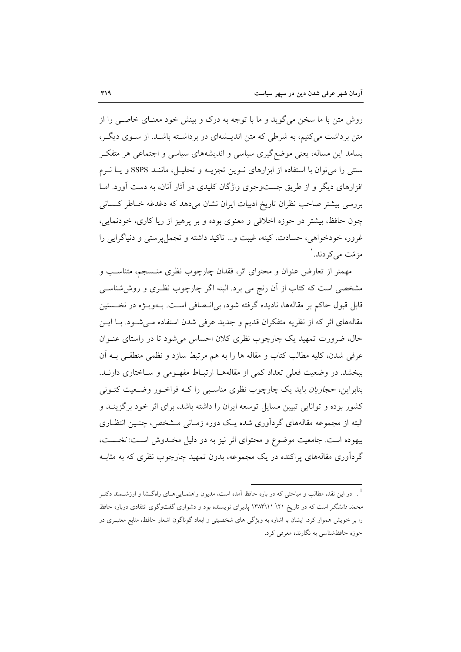روش متن با ما سخن می گوید و ما با توجه به درک و بینش خود معنـای خاصـی را از متن برداشت میکنیم، به شرطی که متن اندیـشهای در برداشـته باشـد. از سـوی دیگـر، بسامد این مساله، یعنی موضع گیری سیاسی و اندیشههای سیاسی و اجتماعی هر متفکر سنتی را می توان با استفاده از ابزارهای نـوین تجزیـه و تحلیـل، ماننـد SSPS و یـا نـرم افزارهای دیگر و از طریق جستوجوی واژگان کلیدی در آثار آنان، به دست آورد. امــا بررسی بیشتر صاحب نظران تاریخ ادبیات ایران نشان میدهد که دغدغه خـاطر کـسانی چون حافظ، بیشتر در حوزه اخلاقی و معنوی بوده و بر پرهیز از ریا کاری، خودنمایی، غرور، خودخواهي، حسادت، کينه، غيبت و... تاکيد داشته و تجمل پرستي و دنياگرايي را مز مّت مے کر دند. <sup>۱</sup>

مهمتر از تعارض عنوان و محتوای اثر، فقدان چارچوب نظری منــسجم، متناسـب و مشخصی است که کتاب از آن رنج می برد. البته اگر چارچوب نظـری و روششناسـی قابل قبول حاکم بر مقالهها، نادیده گرفته شود، بی|نـصافی اسـت. بـهویــژه در نخــستین مقالههای اثر که از نظریه متفکران قدیم و جدید عرفی شدن استفاده مـی شـود. بـا ایـن حال، ضرورت تمهید یک چارچوب نظری کلان احساس می شود تا در راستای عنوان عرفي شدن، كليه مطالب كتاب و مقاله ها را به هم مرتبط سازد و نظمي منطقـبي بــه أن ببخشد. در وضعیت فعلی تعداد کمی از مقالههـا ارتبـاط مفهـومی و سـاختاری دارنــد. بنابراین، *حجاریان* باید یک چارچوب نظری مناسب<sub>ی</sub> را کـه فراخـور وضـعیت کنــونی کشور بوده و توانایی تبیین مسایل توسعه ایران را داشته باشد، برای اثر خود برگزینــد و البته از مجموعه مقالههای گردآوری شده یـک دوره زمـانی مـشخص، چنـین انتظـاری بیهوده است. جامعیت موضوع و محتوای اثر نیز به دو دلیل مخـدوش اسـت: نخـست، گردآوری مقالههای پراکنده در یک مجموعه، بدون تمهید چارچوب نظری که به مثاب

<sup>&</sup>lt;sup>1</sup> . در این نقد، مطالب و مباحثی که در باره حافظ آمده است، مدیون راهنمـایی۵ـای راهگـشا و ارزشــمند دکتــر محم*د دانشگ*ر است که در تاریخ ۱۲\ ۱۳\۱۳\۱۳ پذیرای نویسنده بود و دشواری گفتوگوی انتقادی درباره حافظ را بر خویش هموار کرد. ایشان با اشاره به ویژگی های شخصیتی و ابعاد گوناگون اشعار حافظ، منابع معتبـری در حوزه حافظشناسی به نگارنده معرفی کرد.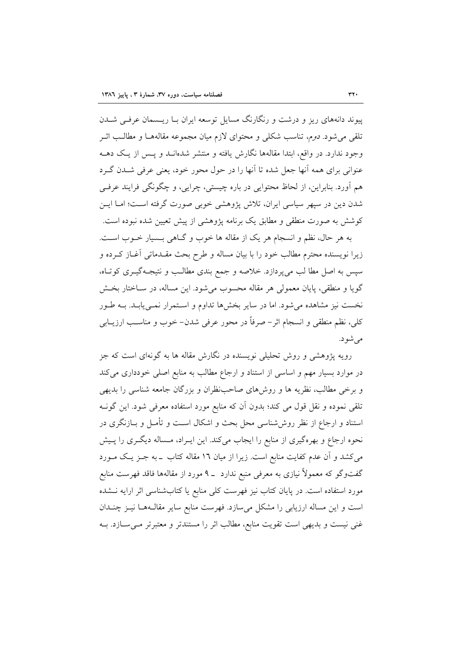پیوند دانههای ریز و درشت و رنگارنگ مسایل توسعه ایران بـا ریــسمان عرفــی شــدن تلقی میشود. *دوم*، تناسب شکلی و محتوای لازم میان مجموعه مقالههـا و مطالـب اثـر وجود ندارد. در واقع، ابتدا مقالهها نگارش یافته و منتشر شدهانــد و پــس از یـک دهــه عنواني براي همه آنها جعل شده تا آنها را در حول محور خود، يعني عرفي شــدن گــرد هم اَورد. بنابراین، از لحاظ محتوایی در باره چیستی، چرایی، و چگونگی فرایند عرفــی شدن دین در سپهر سیاسی ایران، تلاش پژوهشی خوبی صورت گرفته است؛ امـا ایــن کوشش به صورت منطقی و مطابق یک برنامه پژوهشی از پیش تعیین شده نبوده است.

به هر حال، نظم و انسجام هر یک از مقاله ها خوب و گـاهی بـسیار خــوب اســت. زیرا نویسنده محترم مطالب خود را با بیان مساله و طرح بحث مقـدماتی آغــاز کــرده و سپس به اصل مطا لب میپردازد. خلاصه و جمع بندی مطالب و نتیجـهگیــری کوتـاه، گویا و منطقی، پایان معمولی هر مقاله محسوب میشود. این مساله، در سـاختار بخـش نخست نیز مشاهده میشود. اما در سایر بخشها تداوم و استمرار نمـییابـد. بـه طـور كلي، نظم منطقى و انسجام اثر– صرفاً در محور عرفي شدن– خوب و مناسـب ارزيــابي مے شو د.

رویه پژوهشی و روش تحلیلی نویسنده در نگارش مقاله ها به گونهای است که جز در موارد بسیار مهم و اساسی از استناد و ارجاع مطالب به منابع اصلی خودداری میکند و برخی مطالب، نظریه ها و روشهای صاحب نظران و بزرگان جامعه شناسی را بدیهی تلقی نموده و نقل قول می کند؛ بدون اّن که منابع مورد استفاده معرفی شود. این گونــه استناد و ارجاع از نظر روششناسی محل بحث و اشکال است و تأمـل و بــازنگری در نحوه ارجاع و بهرهگیری از منابع را ایجاب میکند. این ایـراد، مـساله دیگـری را پـیش می کشد و آن عدم کفایت منابع است. زیرا از میان ۱۲ مقاله کتاب ـ به جـز یـک مـورد گفتوگو که معمولاً نیازی به معرفی منبع ندارد ـ ۹ مورد از مقالهها فاقد فهرست منابع مورد استفاده است. در پایان کتاب نیز فهرست کلی منابع یا کتابشناسی اثر ارایه نـشده است و این مساله ارزیابی را مشکل میسازد. فهرست منابع سایر مقالـههـا نیـز چنـدان غنی نیست و بدیهی است تقویت منابع، مطالب اثر را مستندتر و معتبرتر مـیسـازد. بـه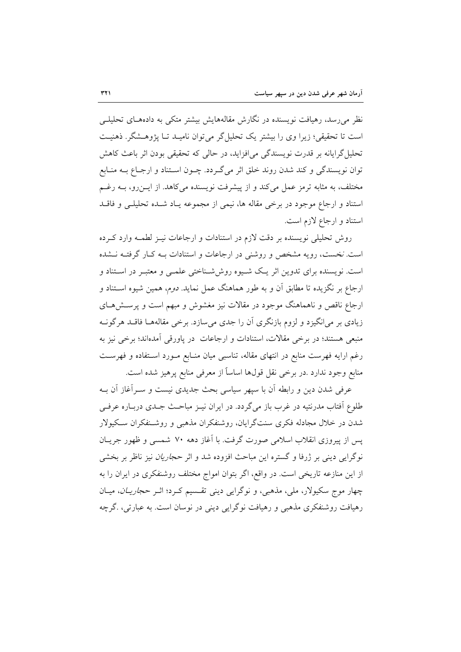نظر میرسد، رهیافت نویسنده در نگارش مقالههایش بیشتر متکی به دادههـای تحلیلــی است تا تحقیقی؛ زیرا وی را بیشتر یک تحلیل گر میتوان نامیـد تـا پژوهـشگر. ذهنیـت تحلیل گرایانه بر قدرت نویسندگی می|فزاید، در حالی که تحقیقی بودن اثر باعث کاهش توان نویسندگی و کند شدن روند خلق اثر میگـردد. چــون اســتناد و ارجــاع بــه منــابع مختلف، به مثابه ترمز عمل میکند و از پیشرفت نویسنده میکاهد. از ایـن(و، بــه رغــم استناد و ارجاع موجود در برخی مقاله ها، نیمی از مجموعه یـاد شـده تحلیلـی و فاقــد استناد و ارجاع لازم است.

روش تحلیلی نویسنده بر دقت لازم در استنادات و ارجاعات نیـز لطمـه وارد کـرده است. نخست، رویه مشخص و روشنی در ارجاعات و استنادات بـه کـار گرفتـه نـشده است. نویسنده برای تدوین اثر یک شـیوه روششـناختی علمـی و معتبـر در اسـتناد و ارجاع بر نگزیده تا مطابق آن و به طور هماهنگ عمل نماید. *دوم*، همین شیوه اســتناد و ارجاع ناقص و ناهماهنگ موجود در مقالات نیز مغشوش و مبهم است و پرسـش۱صی زیادی بر میانگیزد و لزوم بازنگری آن را جدی میسازد. برخی مقالههـا فاقـد هرگونــه منبعی هستند؛ در برخی مقالات، استنادات و ارجاعات در پاورقی آمدهاند؛ برخی نیز به رغم ارایه فهرست منابع در انتهای مقاله، تناسبی میان منـابع مـورد اسـتفاده و فهرسـت منابع وجود ندارد .در برخي نقل قولها اساساً از معرفي منابع پرهيز شده است.

عرفی شدن دین و رابطه آن با سپهر سیاسی بحث جدیدی نیست و سـرآغاز آن بــه طلوع اّفتاب مدرنتیه در غرب باز می گردد. در ایران نیـز مباحـث جـدی دربـاره عرفـی شدن در خلال مجادله فکری سنتگرایان، روشنفکران مذهبی و روشـنفکران سـکیولار یس از پیروزی انقلاب اسلامی صورت گرفت. با آغاز دهه ۷۰ شمسی و ظهور جریــان نوگرایی دینی بر ژرفا و گستره این مباحث افزوده شد و اثر حج*اریان* نیز ناظر بر بخشی از این منازعه تاریخی است. در واقع، اگر بتوان امواج مختلف روشنفکری در ایران را به چهار موج سکیولار، ملی، مذهبی، و نوگرایی دینی تقسیم کرد؛ اثر حج*اریـان*، میـان رهیافت روشنفکری مذهبی و رهیافت نوگرایی دینی در نوسان است. به عبارتی، گرچه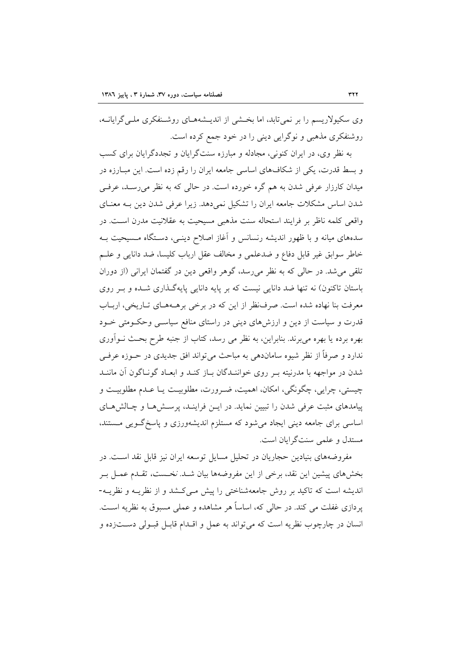وی سکیولاریسم را بر نمی تابد، اما بخشی از اندیـشههـای روشـنفکری ملـی گرایانــه، روشنفکری مذهبی و نوگرایی دینی را در خود جمع کرده است.

به نظر وي، در ايران كنوني، مجادله و مبارزه سنتگرايان و تجددگرايان براي كسب و بسط قدرت، یکی از شکافهای اساسی جامعه ایران را رقم زده است. این مبـارزه در میدان کارزار عرفی شدن به هم گره خورده است. در حالی که به نظر می رسـد، عرفـی شدن اساس مشکلات جامعه ایران را تشکیل نمی دهد. زیرا عرفی شدن دین بـه معنــای واقعی کلمه ناظر بر فرایند استحاله سنت مذهبی مسیحیت به عقلانیت مدرن اسـت. در سدههای میانه و با ظهور اندیشه رنسانس و آغاز اصلاح دینـی، دسـتگاه مـسیحیت بـه خاطر سوابق غير قابل دفاع و ضدعلمي و مخالف عقل ارباب كليسا، ضد دانايي و علـم تلقی می شد. در حالی که به نظر می رسد، گوهر واقعی دین در گفتمان ایرانی (از دوران باستان تاکنون) نه تنها ضد دانایی نیست که بر پایه دانایی پایهگذاری شـده و بـر روی معرفت بنا نهاده شده است. صرفنظر از این که در برخی برهـههـای تـاریخی، اربـاب قدرت و سیاست از دین و ارزشهای دینی در راستای منافع سیاسـی وحکـومتی خـود بهره برده یا بهره میبرند. بنابراین، به نظر می رسد، کتاب از جنبه طرح بحث نــواَوری ندارد و صرفاً از نظر شیوه ساماندهی به مباحث می تواند افق جدیدی در حــوزه عرفــی شدن در مواجهه با مدرنیته بـر روی خواننـدگان بـاز کنـد و ابعـاد گونـاگون آن ماننـد چیستی، چرایی، چگونگی، امکان، اهمیت، ضـرورت، مطلوبیـت یـا عـدم مطلوبیـت و پیامدهای مثبت عرفی شدن را تبیین نماید. در ایـن فراینـد، پرسـش۵هـا و چـالشهـای اساسی برای جامعه دینی ایجاد میشود که مستلزم اندیشهورزی و پاسخ گـویی مـستند، مستدل و علمی سنتگرایان است.

مفروضههای بنیادین حجاریان در تحلیل مسایل توسعه ایران نیز قابل نقد اسـت. در بخشهای پیشین این نقد، برخی از این مفروضهها بیان شــد. *نخــست،* تقــدم عمــل بــر اندیشه است که تاکید بر روش جامعهشناختی را پیش مـیکشد و از نظریـه و نظریـه-یردازی غفلت می کند. در حالی که، اساساً هر مشاهده و عملی مسبوق به نظریه است. انسان در چارچوب نظريه است كه مي تواند به عمل و اقـدام قابـل قبـولي دســتزده و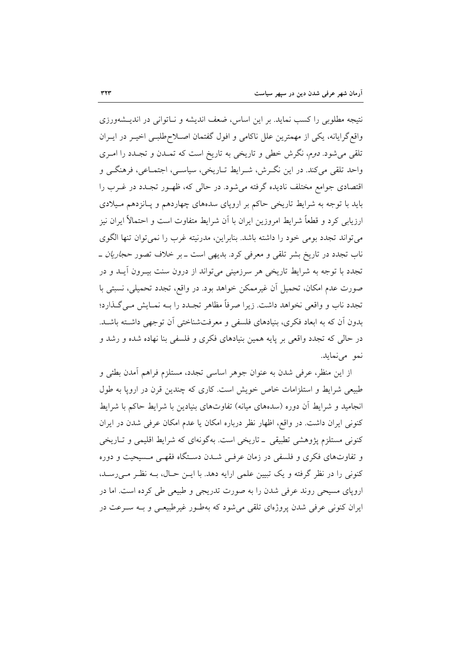نتیجه مطلوبی را کسب نماید. بر این اساس، ضعف اندیشه و نـاتوانی در اندیـشهورزی واقع گرایانه، یکی از مهمترین علل ناکامی و افول گفتمان اصـلاح طلبـی اخیـر در ایـران تلقی میشود. دوم، نگرش خطی و تاریخی به تاریخ است که تمـدن و تجـدد را امـری واحد تلقی میکند. در این نگـرش، شـرایط تـاریخی، سیاسـی، اجتمـاعی، فرهنگـی و اقتصادی جوامع مختلف نادیده گرفته می شود. در حالی که، ظهـور تجـدد در غـرب را باید با توجه به شرایط تاریخی حاکم بر اروپای سدههای چهاردهم و پـانزدهم مـیلادی ارزیابی کرد و قطعاً شرایط امروزین ایران با آن شرایط متفاوت است و احتمالاً ایران نیز می تواند تجدد بومی خود را داشته باشد. بنابراین، مدرنیته غرب را نمی توان تنها الگوی ناب تجدد در تاریخ بشر تلقی و معرفی کرد. بدیهی است ــ بر خلاف تصور *حجاریان* ــ تجدد با توجه به شرایط تاریخی هر سرزمینی میتواند از درون سنت بیـرون آیـد و در صورت عدم امکان، تحمیل آن غیرممکن خواهد بود. در واقع، تجدد تحمیلی، نسبتی با تجدد ناب و واقعی نخواهد داشت. زیرا صرفاً مظاهر تجـدد را بــه نمــایش مــیگــذارد؛ بدون آن که به ابعاد فکری، بنیادهای فلسفی و معرفتشناختی آن توجهی داشته باشـد. در حالی که تجدد واقعی بر پایه همین بنیادهای فکری و فلسفی بنا نهاده شده و رشد و نمو مي نمايد.

از این منظر، عرفی شدن به عنوان جوهر اساسی تجدد، مستلزم فراهم أمدن بطئی و طبیعی شرایط و استلزامات خاص خویش است. کاری که چندین قرن در اروپا به طول انجامید و شرایط آن دوره (سدههای میانه) تفاوتهای بنیادین با شرایط حاکم با شرایط کنونی ایران داشت. در واقع، اظهار نظر درباره امکان یا عدم امکان عرفی شدن در ایران کنونی مستلزم پژوهشی تطبیقی ــ تاریخی است. بهگونهای که شرایط اقلیمی و تـاریخی و تفاوتهای فکری و فلسفی در زمان عرفی شدن دستگاه فقهی مسیحیت و دوره کنونی را در نظر گرفته و یک تبیین علمی ارایه دهد. با ایـن حـال، بـه نظـر مـی(سـد، اروپای مسیحی روند عرفی شدن را به صورت تدریجی و طبیعی طی کرده است. اما در ایران کنونی عرفی شدن پروژهای تلقی می شود که بهطـور غیرطبیعـی و بــه ســرعت در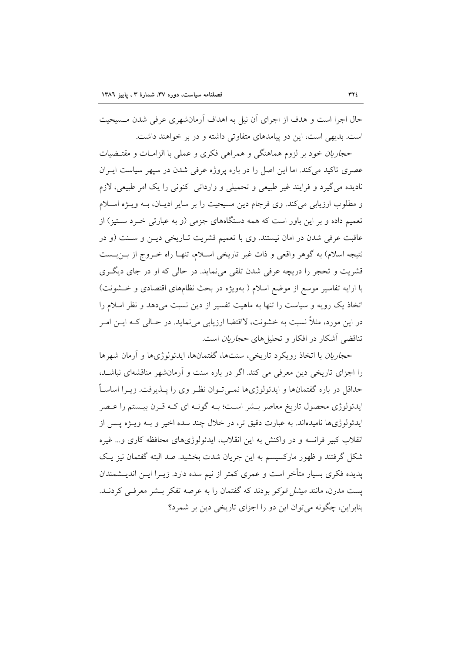حال اجرا است و هدف از اجرای آن نیل به اهداف آرمانشهری عرفی شدن مـسیحیت است. بدیهی است، این دو پیامدهای متفاوتی داشته و در بر خواهند داشت.

حج*اریان خو*د بر لزوم هماهنگی و همراهی فکری و عملی با الزامـات و مقتـضیات عصری تاکید می کند. اما این اصل را در باره پروژه عرفی شدن در سیهر سیاست ایـران نادیده می گیرد و فرایند غیر طبیعی و تحمیلی و وارداتی کنونی را یک امر طبیعی، لازم و مطلوب ارزیابی میکند. وی فرجام دین مسیحیت را بر سایر ادیـان، بـه ویـژه اسـلام تعمیم داده و بر این باور است که همه دستگاههای جزمی (و به عبارتی خـرد سـتیز) از عاقبت عرفی شدن در امان نیستند. وی با تعمیم قشریت تـاریخی دیـن و سـنت (و در نتيجه اسلام) به گوهر واقعي و ذات غير تاريخي اسـلام، تنهـا راه خـروج از بـنبـست قشریت و تحجر را دریچه عرفی شدن تلقی می نماید. در حالی که او در جای دیگری با ارایه تفاسیر موسع از موضع اسلام ( بهویژه در بحث نظامهای اقتصادی و خـشونت) اتخاذ یک رویه و سیاست را تنها به ماهیت تفسیر از دین نسبت میدهد و نظر اسلام را در این مورد، مثلاً نسبت به خشونت، لااقتضا ارزیابی می نماید. در حـالی کـه ایــن امــر تناقضی آشکار در افکار و تحلیل های *حجاریان* است.

حج*اریان* با اتخاذ رویکرد تاریخی، سنتها، گفتمانها، ایدئولوژیها و آرمان شهرها را اجزای تاریخی دین معرفی می کند. اگر در باره سنت و آرمانشهر مناقشهای نباشـد، حداقل در باره گفتمانها و ایدئولوژیها نمـی تـوان نظـر وی را پــذیرفت. زیــرا اساســاً ایدئولوژی محصول تاریخ معاصر بــشر اسـت؛ بــه گونــه ای کــه قــرن بیــستم را عــصر ايدئولوژيها ناميدهاند. به عبارت دقيق تر، در خلال چند سده اخير و بـه ويــژه يــس از انقلاب کبیر فرانسه و در واکنش به این انقلاب، ایدئولوژیهای محافظه کاری و… غیره شکل گرفتند و ظهور مارکسیسم به این جریان شدت بخشید. صد البته گفتمان نیز یک پدیده فکری بسیار متأخر است و عمری کمتر از نیم سده دارد. زیــرا ایــن اندیــشمندان یست مدرن، مانند *میشل فوکو* بودند که گفتمان را به عرصه تفکر بـشر معرفـی کردنــد. بنابراین، چگونه می توان این دو را اجزای تاریخی دین بر شمرد؟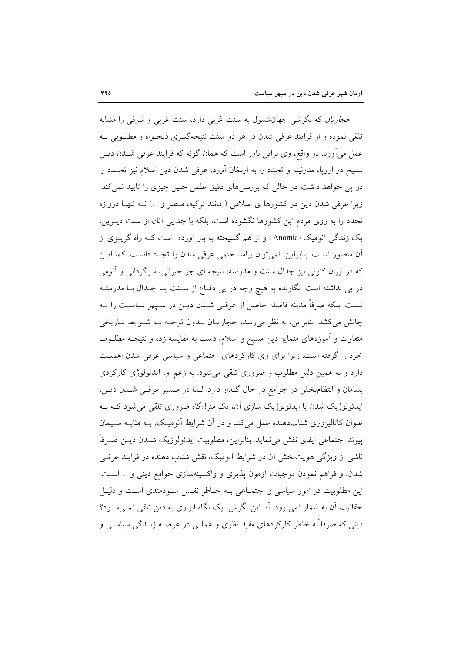حج*اریان* که نگرشی جهانشمول به سنت غربی دارد، سنت غربی و شرقی را مشابه تلقی نموده و از فرایند عرفی شدن در هر دو سنت نتیجهگیـری دلخـواه و مطلـوبی بـه عمل میآورد. در واقع، وی براین باور است که همان گونه که فرایند عرفی شــدن دیــن مسیح در اروپا، مدرنیته و تجدد را به ارمغان آورد، عرفی شدن دین اسلام نیز تجـدد را در پی خواهد داشت. در حالی که بررسیهای دقیق علمی چنین چیزی را تایید نمی کند. زیرا عرفی شدن دین در کشورها ی اسلامی ( مانند ترکیه، مـصر و …) نــه تنهــا دروازه تجدد را به روی مردم این کشورها نگشوده است، بلکه با جدایی آنان از سنت دیـرین، یک زندگی آنومیک (Anomic) و از هم گسیخته به بار آورده است کـه راه گریــزی از آن متصور نیست. بنابراین، نمیتوان پیامد حتمی عرفی شدن را تجدد دانست. کما ایــن که در ایران کنونی نیز جدال سنت و مدرنیته، نتیجه ای جز حیرانی، سرگردانی و آنومی در پی نداشته است. نگارنده به هیچ وجه در پی دفــاع از ســنت یــا جــدال بــا مدرنیتــه نیست. بلکه صرفاً مدینه فاضله حاصل از عرفـی شــدن دیــن در ســپهر سیاســت را بــه چالش میکشد. بنابراین، به نظر می رسد، حجاریـان بـدون توجـه بـه شـرایط تـاریخی متفاوت و اَموزههای متمایز دین مسیح و اسلام، دست به مقایسه زده و نتیجــه مطلــوب خود را گرفته است. زیرا برای وی کارکردهای اجتماعی و سیاسی عرفی شدن اهمیت دارد و به همین دلیل مطلوب و ضروری تلقی می شود. به زعم او، ایدئولوژی کارکردی بسامان و انتظامبخش در جوامع در حال گذار دارد. لـذا در مـسير عرفـي شـدن ديـن، ایدئولوژیک شدن یا ایدئولوژیک سازی آن، یک منزلگاه ضروری تلقی می شود کــه بــه عنوان کاتالیزوری شتابدهنده عمل میکند و در آن شرایط آنومیک، بـه مثابـه سـیمان پيوند اجتماعي ايفاي نقش مي نمايد. بنابراين، مطلوبيت ايدئولوژيک شــدن ديــن صــرفاً ناشی از ویژگی هویتبخش آن در شرایط آنومیک، نقش شتاب دهنده در فرایند عرفی شدن، و فراهم نمودن موجبات آزمون پذیری و واکسینهسازی جوامع دینی و … است. این مطلوبیت در امور سیاسی و اجتمـاعی بـه خـاطر نفـس سـودمندی اسـت و دلیـل حقانیت آن به شمار نمی رود. آیا این نگرش، یک نگاه ابزاری به دین تلقی نمـی شـود؟ دینی که صرفا ًبه خاطر کارکردهای مفید نظری و عملـی در عرصــه زنــدگی سیاســی و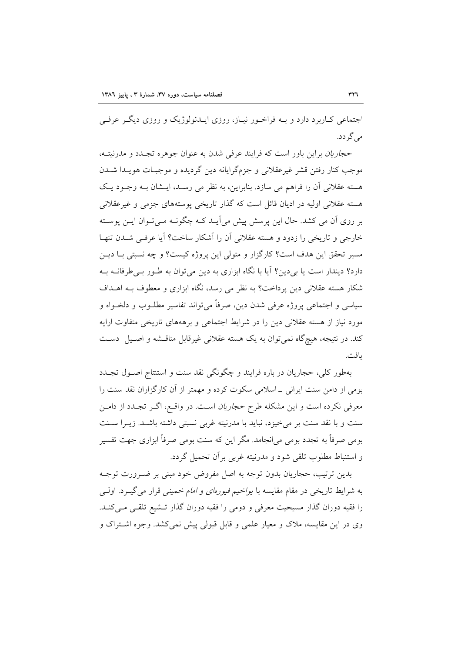اجتماعی کـاربرد دارد و بــه فراخــور نيــاز، روزي ايــدئولوژيک و روزي ديگــر عرفــي مے گے دد.

حج*اریان* براین باور است که فرایند عرفی شدن به عنوان جوهره تجـدد و مدرنیتـه، موجب کنار رفتن قشر غیرعقلانی و جزمگرایانه دین گردیده و موجبـات هویــدا شــدن هسته عقلانی اَن را فراهم می سازد. بنابراین، به نظر می رسـد، ایـشان بـه وجـود یـک هسته عقلانی اولیه در ادیان قائل است که گذار تاریخی پوستههای جزمی و غیرعقلانی بر روی اَن می کشد. حال این پرسش پیش میآیـد کــه چگونــه مــیتـوان ایــن پوســته خارجی و تاریخی را زدود و هسته عقلانی آن را آشکار ساخت؟ آیا عرفی شدن تنهـا مسیر تحقق این هدف است؟ کارگزار و متولی این پروژه کیست؟ و چه نسبتی بــا دیــن دارد؟ دیندار است یا بی دین؟ آیا با نگاه ابزاری به دین می توان به طـور بـی طرفانــه بــه شکار هسته عقلانی دین پرداخت؟ به نظر می رسد، نگاه ابزاری و معطوف بـه اهــداف سیاسی و اجتماعی پروژه عرفی شدن دین، صرفاً میتواند تفاسیر مطلـوب و دلخـواه و مورد نیاز از هسته عقلانی دین را در شرایط اجتماعی و برهههای تاریخی متفاوت ارایه کند. در نتیجه، هیچگاه نمیتوان به یک هسته عقلانی غیرقابل مناقـشه و اصـیل دسـت بافت.

بهطور کلی، حجاریان در باره فرایند و چگونگی نقد سنت و استنتاج اصـول تجـدد بومی از دامن سنت ایرانی ــ اسلامی سکوت کرده و مهمتر از آن کارگزاران نقد سنت را معرفی نکرده است و این مشکله طرح حج*اریان* است. در واقـع، اگـر تجـدد از دامـن سنت و با نقد سنت بر می خیزد، نباید با مدرنیته غربی نسبتی داشته باشـد. زیـرا سـنت بومی صرفاً به تجدد بومی می|نجامد. مگر این که سنت بومی صرفاً ابزاری جهت تفسیر و استنباط مطلوب تلقى شود و مدرنيته غربي برأن تحميل گردد.

بدین ترتیب، حجاریان بدون توجه به اصل مفروض خود مبنی بر ضـرورت توجـه به شرایط تاریخی در مقام مقایسه با *یواخیم فیورهای و امام خمینی* قرار می گیــرد. اولــی را فقیه دوران گذار مسیحیت معرفی و دومی را فقیه دوران گذار تــشیع تلقــی مــیکنــد. وی در این مقایسه، ملاک و معیار علمی و قابل قبولی پیش نمی کشد. وجوه اشتراک و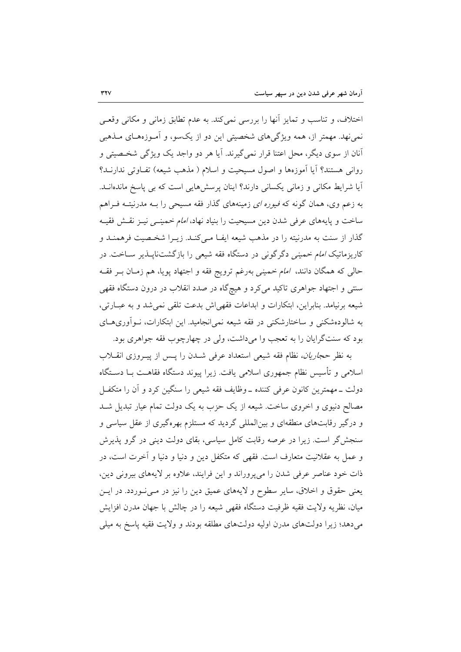اختلاف، و تناسب و تمايز أنها را بررسي نمي كند. به عدم تطابق زماني و مكاني وقعـي نمی نهد. مهمتر از، همه ویژگیهای شخصیتی این دو از یکسو، و آمـوزههـای مـذهبی آنان از سوی دیگر، محل اعتنا قرار نمی گیرند. آیا هر دو واجد یک ویژگی شخصیتی و رواني هستند؟ آيا آموزهها و اصول مسيحيت و اسلام ( مذهب شيعه) تفـاوتي ندارنــد؟ آیا شرایط مکانی و زمانی یکسانی دارند؟ اینان پرسشهایی است که بی پاسخ ماندهانــد. به زعم وی، همان گونه که *فیوره ای* زمینههای گذار فقه مسیحی را بــه مدرنیتــه فــراهم ساخت و پایههای عرفی شدن دین مسیحیت را بنیاد نهاد، *امام خمینـی نیـز نقـش فقیـه* گذار از سنت به مدرنیته را در مذهب شیعه ایفـا مـیکنـد. زیــرا شخـصیت فرهمنـد و کاریزماتیک *امام خمینی دگرگونی در دستگاه فقه شیعی را بازگشت*ناپلذیر سـاخت. در حالی که همگان دانند، *امام خمینی به*رغم ترویج فقه و اجتهاد پویا، هم زمـان بــر فقــه سنتی و اجتهاد جواهری تاکید میکرد و هیچگاه در صدد انقلاب در درون دستگاه فقهی شیعه برنیامد. بنابراین، ابتکارات و ابداعات فقهی اش بدعت تلقی نمی شد و به عبـارتی، به شالودهشکنی و ساختارشکنی در فقه شیعه نمی(نجامید. این ابتکارات، نـوآوریهـای بود که سنتگرایان را به تعجب وا میداشت، ولی در چهارچوب فقه جواهری بود.

به نظر حجا*ریان،* نظام فقه شیعی استعداد عرفی شـدن را پـس از پیـروزی انقـلاب اسلامی و تأسیس نظام جمهوری اسلامی یافت. زیرا پیوند دستگاه فقاهـت بــا دســتگاه دولت \_مهمترين كانون عرفي كننده \_وظايف فقه شيعي را سنگين كرد و آن را متكفـل مصالح دنیوی و اخروی ساخت. شیعه از یک حزب به یک دولت تمام عیار تبدیل شــد و درگیر رقابتهای منطقهای و بین|لمللی گردید که مستلزم بهرهگیری از عقل سیاسی و سنجش گر است. زیرا در عرصه رقابت کامل سیاسی، بقای دولت دینی در گرو پذیرش و عمل به عقلانیت متعارف است. فقهی که متکفل دین و دنیا و دنیا و آخرت است، در ذات خود عناصر عرفی شدن را میپروراند و این فرایند، علاوه بر لایههای بیرونی دین، یعنی حقوق و اخلاق، سایر سطوح و لایههای عمیق دین را نیز در می سوردد. در ایس میان، نظریه ولایت فقیه ظرفیت دستگاه فقهی شیعه را در چالش با جهان مدرن افزایش میدهد؛ زیرا دولتهای مدرن اولیه دولتهای مطلقه بودند و ولایت فقیه پاسخ به میلی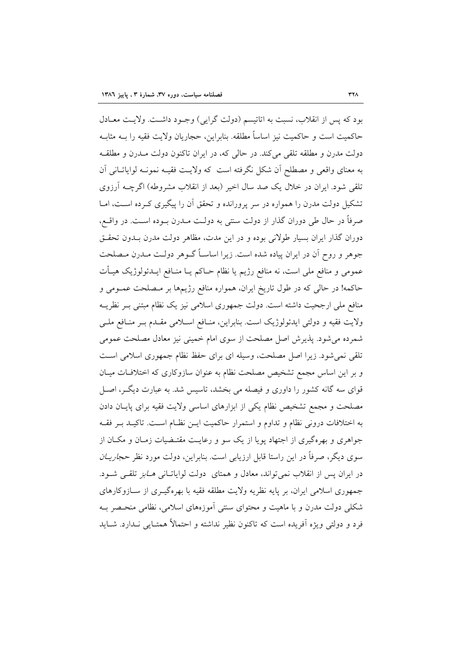بود که پس از انقلاب، نسبت به اتاتیسم (دولت گرایی) وجـود داشـت. ولایـت معـادل حاكميت است و حاكميت نيز اساساً مطلقه. بنابراين، حجاريان ولايت فقيه را بــه مثابــه دولت مدرن و مطلقه تلقی می کند. در حالی که، در ایران تاکنون دولت مـدرن و مطلقـه به معناي واقعي و مصطلح أن شكل نگرفته است كه ولايت فقيـه نمونـه لواياتـاني أن تلقی شود. ایران در خلال یک صد سال اخیر (بعد از انقلاب مشروطه) اگرچــه آرزوی تشکیل دولت مدرن را همواره در سر پرورانده و تحقق آن را پیگیری کـرده اسـت، امــا صرفاً در حال طی دوران گذار از دولت سنتی به دولت مـدرن بـوده اسـت. در واقــع، دوران گذار ایران بسیار طولانی بوده و در این مدت، مظاهر دولت مدرن بـدون تحقـق جوهر و روح آن در ایران پیاده شده است. زیرا اساسـاً گــوهر دولــت مــدرن مــصلحت عمومی و منافع ملی است، نه منافع رژیم یا نظام حــاکم یــا منــافع ایــدئولوژیک هیــأت حاکمه! در حالی که در طول تاریخ ایران، همواره منافع رژیمها بر مصلحت عمـومی و منافع ملی ارجحیت داشته است. دولت جمهوری اسلامی نیز یک نظام مبتنی بـر نظریــه ولایت فقیه و دولتی ایدئولوژیک است. بنابراین، منـافع اسـلامی مقـدم بـر منـافع ملـی شمرده میشود. پذیرش اصل مصلحت از سوی امام خمینی نیز معادل مصلحت عمومی تلقی نمیشود. زیرا اصل مصلحت، وسیله ای برای حفظ نظام جمهوری اسلامی است و بر این اساس مجمع تشخیص مصلحت نظام به عنوان سازوکاری که اختلافات میـان قوای سه گانه کشور را داوری و فیصله می بخشد، تاسیس شد. به عبارت دیگـر، اصـل مصلحت و مجمع تشخیص نظام یکی از ابزارهای اساسی ولایت فقیه برای پایـان دادن به اختلافات درونی نظام و تداوم و استمرار حاکمیت ایـن نظـام اسـت. تاکیــد بــر فقــه جواهری و بهرهگیری از اجتهاد پویا از یک سو و رعایـت مقتـضیات زمـان و مکــان از سوی دیگر، صرفاً در این راستا قابل ارزیابی است. بنابراین، دولت مورد نظر حج*اریــان* در ایران پس از انقلاب نمی تواند، معادل و همتای دولت لوایاتـانی هــابز تلقــی شــود. جمهوری اسلامی ایران، بر پایه نظریه ولایت مطلقه فقیه با بهرهگیـری از سـازوکارهای شکلی دولت مدرن و با ماهیت و محتوای سنتی آموزههای اسلامی، نظامی منحـصر بـه فرد و دولتی ویژه اَفریده است که تاکنون نظیر نداشته و احتمالاً همتـایی نـدارد. شــاید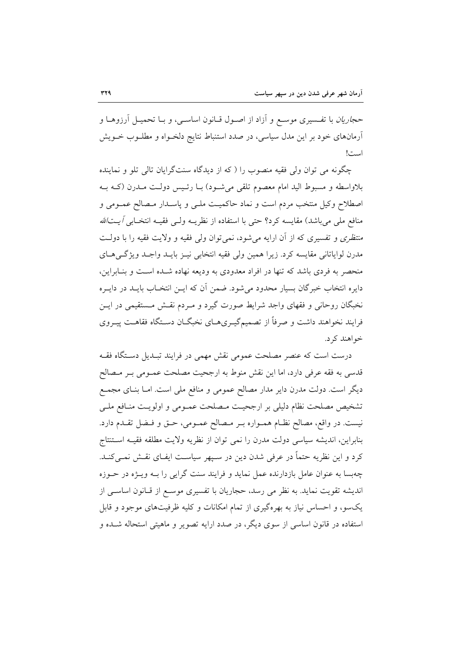حج*اریان* با تفـسیری موسـع و آزاد از اصـول قــانون اساســی، و بــا تحمیــل آرزوهــا و آرمانهای خود بر این مدل سیاسی، در صدد استنباط نتایج دلخـواه و مطلــوب خــویش است!

چگونه می توان ولی فقیه منصوب را ( که از دیدگاه سنتگرایان تالی تلو و نماینده بلاواسطه و مسبوط الید امام معصوم تلقی میشـود) بـا رئـیس دولـت مـدرن (کــه بــه اصطلاح وكيل منتخب مردم است و نماد حاكميـت ملـي و پاسـدار مـصالح عمـومي و منافع ملي مي باشد) مقايسه كرد؟ حتى با استفاده از نظريــه ولــي فقيــه انتخــابي *آيــتالله منتظری و* تفسیری که از آن ارایه می شود، نمی توان ولی فقیه و ولایت فقیه را با دولـت مدرن لواياتاني مقايسه كرد. زيرا همين ولي فقيه انتخابي نيـز بايـد واجـد ويژگـيهـاي منحصر به فردی باشد که تنها در افراد معدودی به ودیعه نهاده شـده اسـت و بنـابراین، دایره انتخاب خبرگان بسیار محدود میشود. ضمن أن که ایــن انتخــاب بایــد در دایــره نخبگان روحانی و فقهای واجد شرایط صورت گیرد و مـردم نقـش مـستقیمی در ایـن فرایند نخواهند داشت و صرفاً از تصمیمگیـریهـای نخبگـان دسـتگاه فقاهـت پیـروی خواهند کړ د.

درست است که عنصر مصلحت عمومی نقش مهمی در فرایند تبـدیل دسـتگاه فقـه قدسی به فقه عرفی دارد، اما این نقش منوط به ارجحیت مصلحت عمـومی بـر مـصالح دیگر است. دولت مدرن دایر مدار مصالح عمومی و منافع ملی است. امـا بنـای مجمـع تشخيص مصلحت نظام دليلي بر ارجحيت مـصلحت عمـومي و اولويـت منـافع ملـي نيست. در واقع، مصالح نظـام همــواره بــر مــصالح عمــومي، حــق و فــضل تقــدم دارد. بنابراين، انديشه سياسي دولت مدرن را نمي توان از نظريه ولايت مطلقه فقيـه اسـتنتاج کرد و این نظریه حتماً در عرفی شدن دین در سـیهر سیاسـت ایفـای نقـش نمـی کنـد. چهبسا به عنوان عامل بازدارنده عمل نماید و فرایند سنت گرایی را بـه ویــژه در حــوزه اندیشه تقویت نماید. به نظر می رسد، حجاریان با تفسیری موسع از قـانون اساسـی از یکسو، و احساس نیاز به بهرهگیری از تمام امکانات و کلیه ظرفیتهای موجود و قابل استفاده در قانون اساسی از سوی دیگر، در صدد ارایه تصویر و ماهیتی استحاله شـده و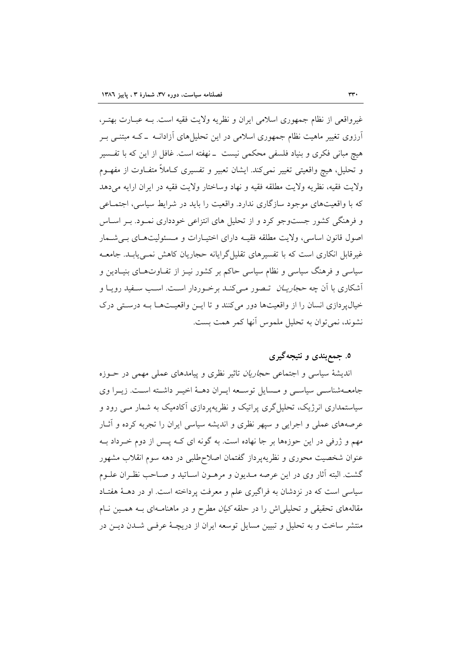غیرواقعی از نظام جمهوری اسلامی ایران و نظریه ولایت فقیه است. بـه عبـارت بهتـر، آرزوی تغییر ماهیت نظام جمهوری اسلامی در این تحلیلهای آزادانــه ــ کــه مبتنــی بــر هیچ مبانی فکری و بنیاد فلسفی محکمی نیست \_نهفته است. غافل از این که با تفـسیر و تحليل، هيچ واقعيتي تغيير نمي كند. ايشان تعبير و تفسيري كــاملاً متفــاوت از مفهــوم ولايت فقيه، نظريه ولايت مطلقه فقيه و نهاد وساختار ولايت فقيه در ايران ارايه مي دهد که با واقعیتهای موجود سازگاری ندارد. واقعیت را باید در شرایط سیاسی، اجتمـاعی و فرهنگی کشور جستوجو کرد و از تحلیل های انتزاعی خودداری نمـود. بـر اسـاس اصول قانون اساسی، ولایت مطلقه فقیـه دارای اختیـارات و مـسئولیتهـای بـی شـمار غیرقابل انکاری است که با تفسیرهای تقلیل گرایانه حجاریان کاهش نمبی پابـد. جامعــه سیاسی و فرهنگ سیاسی و نظام سیاسی حاکم بر کشور نیـز از تفـاوتهـای بنیـادین و أشكاري با أن چه *حجاريــان* تــصور مــي5نــد برخــوردار اســت. اســب ســفيد رويــا و خیالپردازی انسان را از واقعیتها دور میکنند و تا این واقعیتها بـه درستی درک نشوند، نمي توان به تحليل ملموس آنها كمر همت بست.

### ۵. جمع بندی و نتیجه گیری

اندیشهٔ سیاسی و اجتماعی *حجاریان* تاثیر نظری و ییامدهای عملی مهمی در حـوزه جامعـهشناســي سياســي و مــسايل توســعه ايــران دهــهٔ اخيــر داشــته اسـت. زيــرا وي سیاستمداری انرژیک، تحلیل گری پراتیک و نظریهپردازی آکادمیک به شمار مــی رود و عرصههای عملی و اجرایی و سپهر نظری و اندیشه سیاسی ایران را تجربه کرده و أثــار مهم و ژرفی در این حوزهها بر جا نهاده است. به گونه ای کـه پـس از دوم خـرداد بــه عنوان شخصیت محوری و نظریهپرداز گفتمان اصلاحطلبی در دهه سوم انقلاب مشهور گشت. البته آثار وی در این عرصه مـدیون و مرهــون اسـاتید و صـاحب نظـران علــوم سیاسی است که در نزدشان به فراگیری علم و معرفت پرداخته است. او در دهــهٔ هفتـاد مقالههای تحقیقی و تحلیلیاش را در حلقه *کیان* مطرح و در ماهنامـهای بــه همــین نــام منتشر ساخت و به تحلیل و تبیین مسایل توسعه ایران از دریچـهٔ عرفـی شـدن دیــن در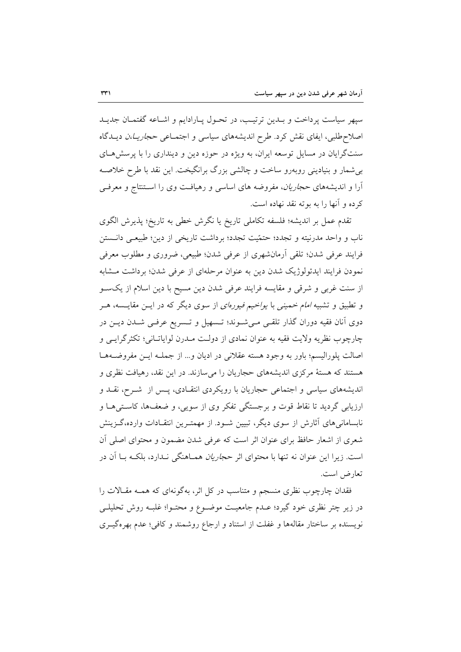سيهر سياست يرداخت و بـدين ترتيـب، در تحـول پـارادايم و اشـاعه گفتمـان جديـد اصلاح طلبی، ایفای نقش کرد. طرح اندیشههای سیاسی و اجتمـاعی حجاریــا،ن دیــدگاه سنتگرایان در مسایل توسعه ایران، به ویژه در حوزه دین و دینداری را با پرسش هـای بی شمار و بنیادینی روبهرو ساخت و چالشی بزرگ برانگیخت. این نقد با طرح خلاصه آرا و اندیشههای *حجاریان*، مفروضه های اساسی و رهیافت وی را استنتاج و معرف<sub>ی</sub> كرده و آنها را به بوته نقد نهاده است.

تقدم عمل بر اندیشه؛ فلسفه تکاملی تاریخ یا نگرش خطی به تاریخ؛ پذیرش الگوی ناب و واحد مدرنیته و تجدد؛ حتمّیت تجدد؛ برداشت تاریخی از دین؛ طبیعـی دانــستن فرايند عرفي شدن؛ تلقى أرمانشهري از عرفي شدن؛ طبيعي، ضروري و مطلوب معرفي نمودن فرایند ایدئولوژیک شدن دین به عنوان مرحلهای از عرفی شدن؛ برداشت مشابه از سنت غربی و شرقی و مقایسه فرایند عرفی شدن دین مسیح با دین اسلام از یکسو و تطبیق و تشبیه *امام خمینی با یواخیم فیورهای* از سوی دیگر که در ایــن مقایــسه، هــر دوی آنان فقیه دوران گذار تلقـی مـیشـوند؛ تـسهیل و تـسریع عرفـی شـدن دیـن در چارچوب نظریه ولایت فقیه به عنوان نمادی از دولت مـدرن لوایاتـانی؛ تکثرگرایـی و اصالت پلورالیسم؛ باور به وجود هسته عقلانی در ادیان و... از جملـه ایـن مفروضـههـا هستند که هستهٔ مرکزی اندیشههای حجاریان را میسازند. در این نقد، رهیافت نظری و اندیشههای سیاسی و اجتماعی حجاریان با رویکردی انتقـادی، پـس از شــرح، نقــد و ارزیابی گردید تا نقاط قوت و برجستگی تفکر وی از سویی، و ضعفها، کاستی هـا و نابسامانیهای آثارش از سوی دیگر، تبیین شـود. از مهمتـرین انتقـادات وارده،گـزینش شعری از اشعار حافظ برای عنوان اثر است که عرفی شدن مضمون و محتوای اصلی آن است. زیرا این عنوان نه تنها با محتوای اثر ح*جاریان هم*ـاهنگی نــدارد، بلکــه بــا اَن در تعارض است.

فقدان چارچوب نظری منسجم و متناسب در کل اثر، بهگونهای که همـه مقـالات را در زیر چتر نظری خود گیرد؛ عـدم جامعیـت موضـوع و محتـوا؛ غلبـه روش تحلیلـی نویسنده بر ساختار مقالهها و غفلت از استناد و ارجاع روشمند و کافی؛ عدم بهرهگیــری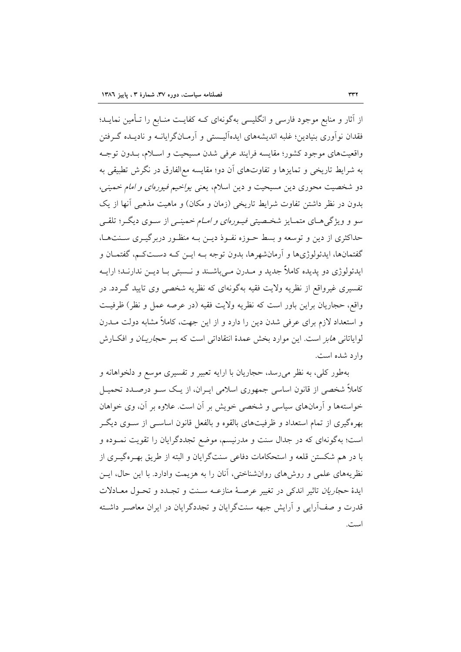از آثار و منابع موجود فارسی و انگلیسی بهگونهای کـه کفایـت منـابع را تـأمین نمایـد؛ فقدان نوآوری بنیادین؛ غلبه اندیشههای ایدهآلیـستی و آرمـانگرایانــه و نادیــده گــرفتن واقعیتهای موجود کشور؛ مقایسه فرایند عرفی شدن مسیحیت و اسـلام، بـدون توجـه به شرایط تاریخی و تمایزها و تفاوتهای آن دو؛ مقایسه معالفارق در نگرش تطبیقی به دو شخصیت محوری دین مسیحیت و دین اسلام، یعنی *یواخیم فیورهای و امام خمینی*، بدون در نظر داشتن تفاوت شرایط تاریخی (زمان و مکان) و ماهیت مذهبی آنها از یک سو و ویژگی هــای متمــایز شخــصیتی ف*یــورهای و امــام خ*مینــی از ســوی دیگــر؛ تلقــی حداکثری از دین و توسعه و بسط حـوزه نفـوذ دیـن بـه منظـور دربر گیـری سـنتهـا، گفتمانها، ايدئولوژيها و آرمانشهرها، بدون توجه بـه ايــن كـه دســتكــم، گفتمــان و ايدئولوژي دو پديده كاملاً جديد و مــدرن مــي!شــند و نــسبتي بــا ديــن ندارنــد؛ ارايــه تفسیری غیرواقع از نظریه ولایت فقیه بهگونهای که نظریه شخصی وی تایید گــردد. در واقع، حجاريان براين باور است كه نظريه ولايت فقيه (در عرصه عمل و نظر) ظرفيت و استعداد لازم برای عرفی شدن دین را دارد و از این جهت، کاملاً مشابه دولت مــدرن لوایاتانی *هابز است. این موارد بخش عمدهٔ انتقاداتی است که بـر حجاریـان و افک*ـارش وارد شده است.

بهطور کلی، به نظر می رسد، حجاریان با ارایه تعبیر و تفسیری موسع و دلخواهانه و کاملاً شخصی از قانون اساسی جمهوری اسلامی ایـران، از یـک سـو درصـدد تحمیـل خواستهها و آرمانهای سیاسی و شخصی خویش بر آن است. علاوه بر آن، وی خواهان بهرهگیری از تمام استعداد و ظرفیتهای بالقوه و بالفعل قانون اساســی از ســوی دیگــر است؛ بهگونهای که در جدال سنت و مدرنیسم، موضع تجددگرایان را تقویت نمـوده و با در هم شکستن قلعه و استحکامات دفاعی سنتگرایان و البته از طریق بهـرهگیـری از نظریههای علمی و روشهای روانشناختی، آنان را به هزیمت وادارد. با این حال، ایس ايدهٔ *حجاريان* تاثير اندكي در تغيير عرصـهٔ منازعــه سـنت و تجـدد و تحـول معـادلات قدرت و صف[رایی و آرایش جبهه سنتگرایان و تجددگرایان در ایران معاصـر داشـته است.